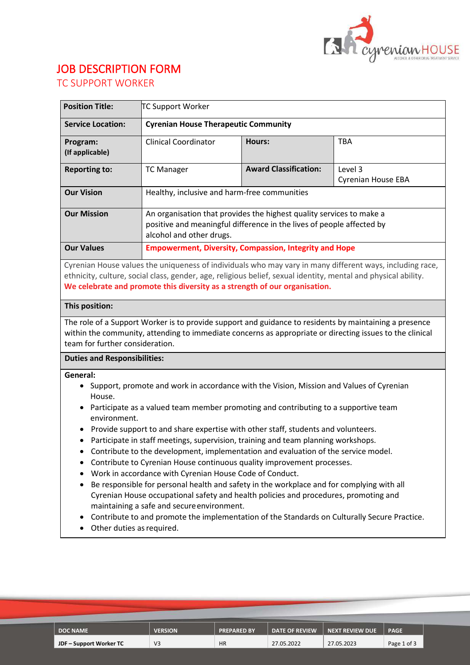

# JOB DESCRIPTION FORM

| <b>Position Title:</b>      | <b>TC Support Worker</b>                                                                                                                                                  |                              |                                      |  |
|-----------------------------|---------------------------------------------------------------------------------------------------------------------------------------------------------------------------|------------------------------|--------------------------------------|--|
| <b>Service Location:</b>    | <b>Cyrenian House Therapeutic Community</b>                                                                                                                               |                              |                                      |  |
| Program:<br>(If applicable) | Clinical Coordinator                                                                                                                                                      | <b>Hours:</b>                | <b>TBA</b>                           |  |
| <b>Reporting to:</b>        | <b>TC Manager</b>                                                                                                                                                         | <b>Award Classification:</b> | Level 3<br><b>Cyrenian House EBA</b> |  |
| <b>Our Vision</b>           | Healthy, inclusive and harm-free communities                                                                                                                              |                              |                                      |  |
| <b>Our Mission</b>          | An organisation that provides the highest quality services to make a<br>positive and meaningful difference in the lives of people affected by<br>alcohol and other drugs. |                              |                                      |  |
| <b>Our Values</b>           | <b>Empowerment, Diversity, Compassion, Integrity and Hope</b>                                                                                                             |                              |                                      |  |

Cyrenian House values the uniqueness of individuals who may vary in many different ways, including race, ethnicity, culture, social class, gender, age, religious belief, sexual identity, mental and physical ability. **We celebrate and promote this diversity as a strength of our organisation.**

# **This position:**

The role of a Support Worker is to provide support and guidance to residents by maintaining a presence within the community, attending to immediate concerns as appropriate or directing issues to the clinical team for further consideration.

# **Duties and Responsibilities:**

**General:** 

- Support, promote and work in accordance with the Vision, Mission and Values of Cyrenian House.
- Participate as a valued team member promoting and contributing to a supportive team environment.
- Provide support to and share expertise with other staff, students and volunteers.
- Participate in staff meetings, supervision, training and team planning workshops.
- Contribute to the development, implementation and evaluation of the service model.
- Contribute to Cyrenian House continuous quality improvement processes.
- Work in accordance with Cyrenian House Code of Conduct.
- Be responsible for personal health and safety in the workplace and for complying with all Cyrenian House occupational safety and health policies and procedures, promoting and maintaining a safe and secureenvironment.
- Contribute to and promote the implementation of the Standards on Culturally Secure Practice.
- Other duties as required.

| <b>DOC NAME</b>         | <b>VERSION</b> | <b>PREPARED BY</b> | <b>DATE OF REVIEW</b> | NEXT REVIEW DUE | <b>PAGE</b> |
|-------------------------|----------------|--------------------|-----------------------|-----------------|-------------|
|                         |                |                    |                       |                 |             |
| JDF – Support Worker TC | V3             | <b>HR</b>          | 27.05.2022            | 27.05.2023      | Page 1 of 3 |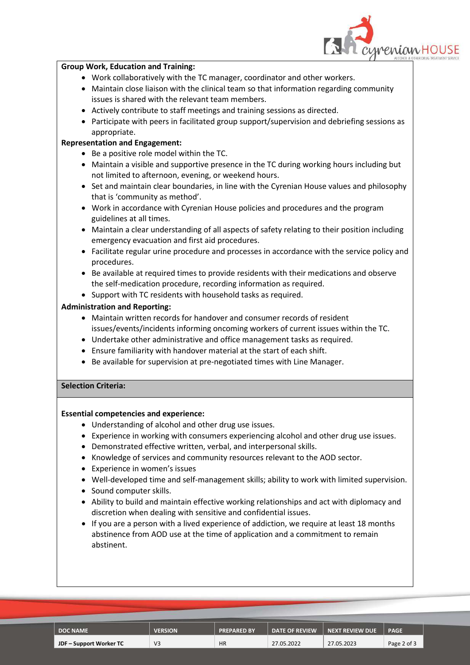

#### **Group Work, Education and Training:**

- Work collaboratively with the TC manager, coordinator and other workers.
- Maintain close liaison with the clinical team so that information regarding community issues is shared with the relevant team members.
- Actively contribute to staff meetings and training sessions as directed.
- Participate with peers in facilitated group support/supervision and debriefing sessions as appropriate.

### **Representation and Engagement:**

- Be a positive role model within the TC.
- Maintain a visible and supportive presence in the TC during working hours including but not limited to afternoon, evening, or weekend hours.
- Set and maintain clear boundaries, in line with the Cyrenian House values and philosophy that is 'community as method'.
- Work in accordance with Cyrenian House policies and procedures and the program guidelines at all times.
- Maintain a clear understanding of all aspects of safety relating to their position including emergency evacuation and first aid procedures.
- Facilitate regular urine procedure and processes in accordance with the service policy and procedures.
- Be available at required times to provide residents with their medications and observe the self-medication procedure, recording information as required.
- Support with TC residents with household tasks as required.

# **Administration and Reporting:**

- Maintain written records for handover and consumer records of resident issues/events/incidents informing oncoming workers of current issues within the TC.
- Undertake other administrative and office management tasks as required.
- Ensure familiarity with handover material at the start of each shift.
- Be available for supervision at pre-negotiated times with Line Manager.

# **Selection Criteria:**

#### **Essential competencies and experience:**

- Understanding of alcohol and other drug use issues.
- Experience in working with consumers experiencing alcohol and other drug use issues.
- Demonstrated effective written, verbal, and interpersonal skills.
- Knowledge of services and community resources relevant to the AOD sector.
- Experience in women's issues
- Well-developed time and self-management skills; ability to work with limited supervision.
- Sound computer skills.
- Ability to build and maintain effective working relationships and act with diplomacy and discretion when dealing with sensitive and confidential issues.
- If you are a person with a lived experience of addiction, we require at least 18 months abstinence from AOD use at the time of application and a commitment to remain abstinent.

| <b>DOC NAME</b>         | <b>VERSION</b> | <b>PREPARED BY</b> | <b>DATE OF REVIEW</b> | NEXT REVIEW DUE | <b>PAGE</b> |
|-------------------------|----------------|--------------------|-----------------------|-----------------|-------------|
| JDF – Support Worker TC |                | <b>HR</b>          | 27.05.2022            | 27.05.2023      | Page 2 of 3 |